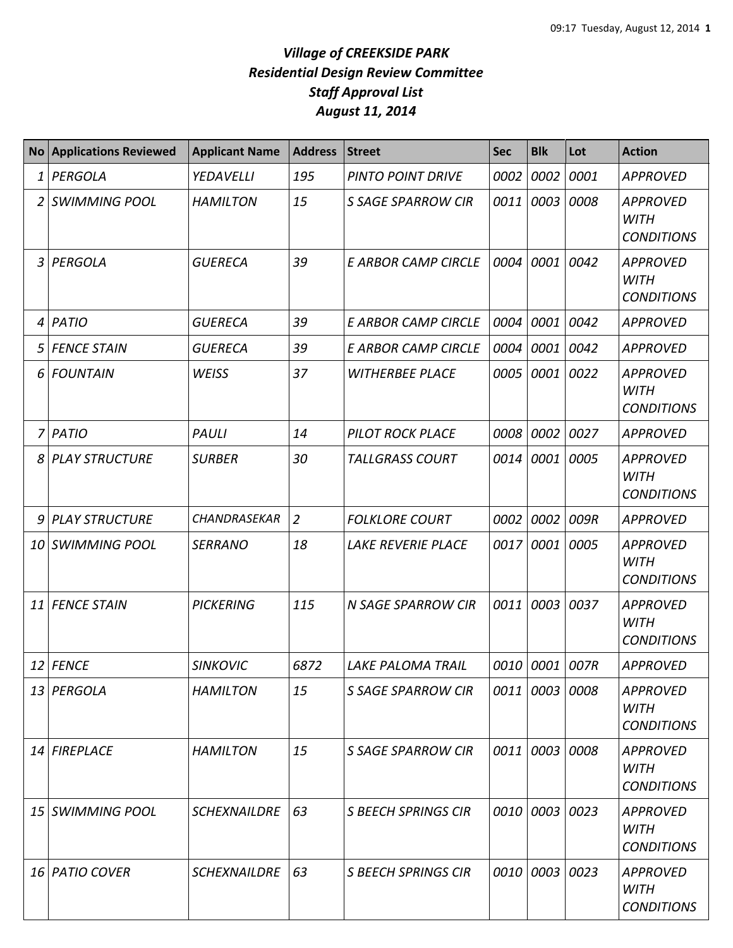|                | No Applications Reviewed | <b>Applicant Name</b> | <b>Address</b> | <b>Street</b>              | <b>Sec</b> | <b>Blk</b>     | Lot  | <b>Action</b>                                       |
|----------------|--------------------------|-----------------------|----------------|----------------------------|------------|----------------|------|-----------------------------------------------------|
| $\mathbf{1}$   | PERGOLA                  | YEDAVELLI             | 195            | <b>PINTO POINT DRIVE</b>   | 0002       | 0002           | 0001 | <b>APPROVED</b>                                     |
| $\overline{2}$ | <b>SWIMMING POOL</b>     | <b>HAMILTON</b>       | 15             | <b>S SAGE SPARROW CIR</b>  | 0011       | 0003           | 0008 | <b>APPROVED</b><br><b>WITH</b><br><b>CONDITIONS</b> |
| 3 <sup>1</sup> | PERGOLA                  | <b>GUERECA</b>        | 39             | <b>E ARBOR CAMP CIRCLE</b> | 0004       | 0001           | 0042 | <b>APPROVED</b><br><b>WITH</b><br><b>CONDITIONS</b> |
|                | 4 PATIO                  | <b>GUERECA</b>        | 39             | <b>E ARBOR CAMP CIRCLE</b> | 0004       | 0001           | 0042 | <b>APPROVED</b>                                     |
| 5              | <b>FENCE STAIN</b>       | <b>GUERECA</b>        | 39             | <b>E ARBOR CAMP CIRCLE</b> | 0004       | 0001           | 0042 | <b>APPROVED</b>                                     |
| 6 <sup>1</sup> | <b>FOUNTAIN</b>          | <b>WEISS</b>          | 37             | <b>WITHERBEE PLACE</b>     | 0005       | 0001           | 0022 | <b>APPROVED</b><br><b>WITH</b><br><b>CONDITIONS</b> |
|                | 7 PATIO                  | <b>PAULI</b>          | 14             | <b>PILOT ROCK PLACE</b>    | 0008       | 0002           | 0027 | <b>APPROVED</b>                                     |
| 8              | <b>PLAY STRUCTURE</b>    | <b>SURBER</b>         | 30             | <b>TALLGRASS COURT</b>     | 0014       | 0001           | 0005 | <b>APPROVED</b><br><b>WITH</b><br><b>CONDITIONS</b> |
| 9              | <b>PLAY STRUCTURE</b>    | <b>CHANDRASEKAR</b>   | $\overline{2}$ | <b>FOLKLORE COURT</b>      | 0002       | 0002           | 009R | <b>APPROVED</b>                                     |
| 10             | <b>SWIMMING POOL</b>     | <b>SERRANO</b>        | 18             | <b>LAKE REVERIE PLACE</b>  | 0017       | 0001           | 0005 | <b>APPROVED</b><br><b>WITH</b><br><b>CONDITIONS</b> |
|                | 11 FENCE STAIN           | <b>PICKERING</b>      | 115            | <b>N SAGE SPARROW CIR</b>  | 0011       | 0003 0037      |      | <b>APPROVED</b><br><b>WITH</b><br><b>CONDITIONS</b> |
|                | $12$ FENCE               | <b>SINKOVIC</b>       | 6872           | <b>LAKE PALOMA TRAIL</b>   |            | 0010 0001      | 007R | <b>APPROVED</b>                                     |
|                | 13 PERGOLA               | <b>HAMILTON</b>       | 15             | <b>S SAGE SPARROW CIR</b>  |            | 0011 0003 0008 |      | <b>APPROVED</b><br><b>WITH</b><br><b>CONDITIONS</b> |
|                | 14 FIREPLACE             | <b>HAMILTON</b>       | 15             | <b>S SAGE SPARROW CIR</b>  |            | 0011 0003 0008 |      | <b>APPROVED</b><br><b>WITH</b><br><b>CONDITIONS</b> |
|                | 15 SWIMMING POOL         | <b>SCHEXNAILDRE</b>   | 63             | <b>S BEECH SPRINGS CIR</b> |            | 0010 0003 0023 |      | <b>APPROVED</b><br><b>WITH</b><br><b>CONDITIONS</b> |
|                | 16 PATIO COVER           | <b>SCHEXNAILDRE</b>   | 63             | <b>S BEECH SPRINGS CIR</b> |            | 0010 0003 0023 |      | <b>APPROVED</b><br><b>WITH</b><br><b>CONDITIONS</b> |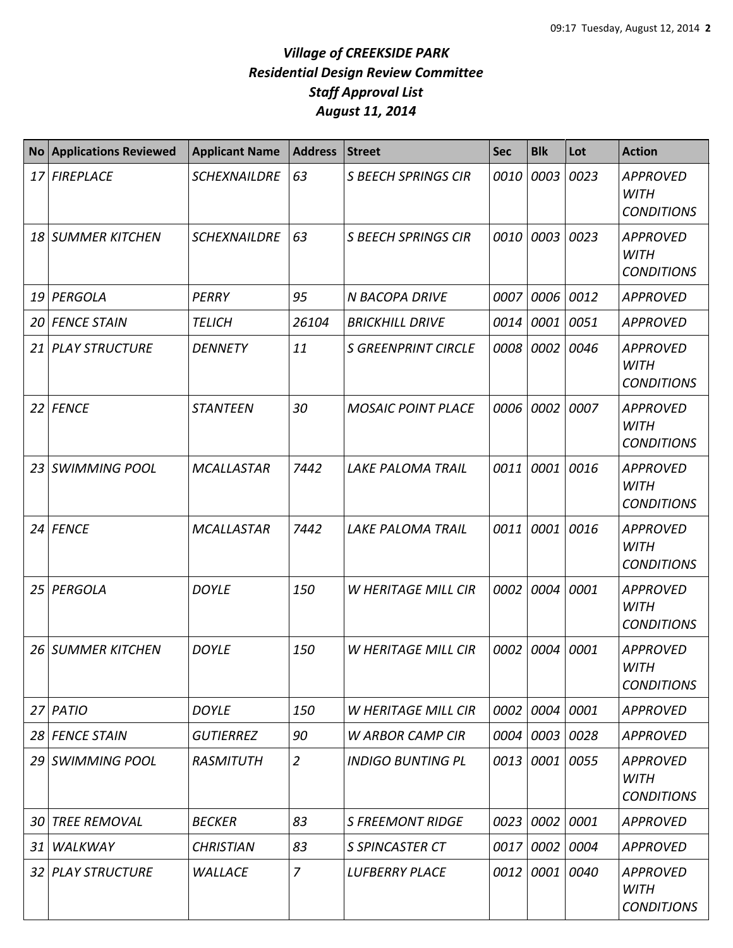| <b>No</b> | <b>Applications Reviewed</b> | <b>Applicant Name</b> | <b>Address</b> | <b>Street</b>              | <b>Sec</b> | <b>Blk</b> | Lot  | <b>Action</b>                                       |
|-----------|------------------------------|-----------------------|----------------|----------------------------|------------|------------|------|-----------------------------------------------------|
|           | 17 FIREPLACE                 | <b>SCHEXNAILDRE</b>   | 63             | <b>S BEECH SPRINGS CIR</b> | 0010       | 0003       | 0023 | <b>APPROVED</b><br><b>WITH</b><br><b>CONDITIONS</b> |
| 18 I      | <b>SUMMER KITCHEN</b>        | <b>SCHEXNAILDRE</b>   | 63             | <b>S BEECH SPRINGS CIR</b> | 0010       | 0003       | 0023 | <b>APPROVED</b><br><b>WITH</b><br><b>CONDITIONS</b> |
| 19 I      | PERGOLA                      | PERRY                 | 95             | <b>N BACOPA DRIVE</b>      | 0007       | 0006 0012  |      | <b>APPROVED</b>                                     |
|           | 20 FENCE STAIN               | <b>TELICH</b>         | 26104          | <b>BRICKHILL DRIVE</b>     | 0014       | 0001       | 0051 | <b>APPROVED</b>                                     |
| 21        | <b>PLAY STRUCTURE</b>        | <b>DENNETY</b>        | 11             | <b>S GREENPRINT CIRCLE</b> | 0008       | 0002       | 0046 | <b>APPROVED</b><br><b>WITH</b><br><b>CONDITIONS</b> |
|           | 22 FENCE                     | <b>STANTEEN</b>       | 30             | <b>MOSAIC POINT PLACE</b>  | 0006       | 0002       | 0007 | <b>APPROVED</b><br><b>WITH</b><br><b>CONDITIONS</b> |
| 23        | <b>SWIMMING POOL</b>         | <b>MCALLASTAR</b>     | 7442           | <b>LAKE PALOMA TRAIL</b>   | 0011       | 0001       | 0016 | <b>APPROVED</b><br><b>WITH</b><br><b>CONDITIONS</b> |
| 24        | <b>FENCE</b>                 | <b>MCALLASTAR</b>     | 7442           | <b>LAKE PALOMA TRAIL</b>   | 0011       | 0001       | 0016 | <b>APPROVED</b><br><b>WITH</b><br><b>CONDITIONS</b> |
| 25        | PERGOLA                      | <b>DOYLE</b>          | 150            | W HERITAGE MILL CIR        | 0002       | 0004       | 0001 | <b>APPROVED</b><br><b>WITH</b><br><b>CONDITIONS</b> |
| 26        | <b>SUMMER KITCHEN</b>        | <b>DOYLE</b>          | 150            | <b>W HERITAGE MILL CIR</b> | 0002       | 0004       | 0001 | <b>APPROVED</b><br><b>WITH</b><br><b>CONDITIONS</b> |
|           | 27 PATIO                     | <b>DOYLE</b>          | 150            | W HERITAGE MILL CIR        | 0002       | 0004 0001  |      | <b>APPROVED</b>                                     |
|           | 28 FENCE STAIN               | <b>GUTIERREZ</b>      | 90             | <b>W ARBOR CAMP CIR</b>    | 0004       | 0003 0028  |      | <b>APPROVED</b>                                     |
| 29        | <b>SWIMMING POOL</b>         | <b>RASMITUTH</b>      | $\overline{2}$ | <b>INDIGO BUNTING PL</b>   | 0013       | 0001 0055  |      | <b>APPROVED</b><br><b>WITH</b><br><b>CONDITIONS</b> |
| 30        | <b>TREE REMOVAL</b>          | <b>BECKER</b>         | 83             | <b>S FREEMONT RIDGE</b>    | 0023       | 0002       | 0001 | <b>APPROVED</b>                                     |
| 31        | WALKWAY                      | <b>CHRISTIAN</b>      | 83             | <b>S SPINCASTER CT</b>     | 0017       | 0002 0004  |      | <b>APPROVED</b>                                     |
|           | 32 PLAY STRUCTURE            | WALLACE               | $\overline{z}$ | <b>LUFBERRY PLACE</b>      | 0012       | 0001 0040  |      | <b>APPROVED</b><br>WITH<br><b>CONDITJONS</b>        |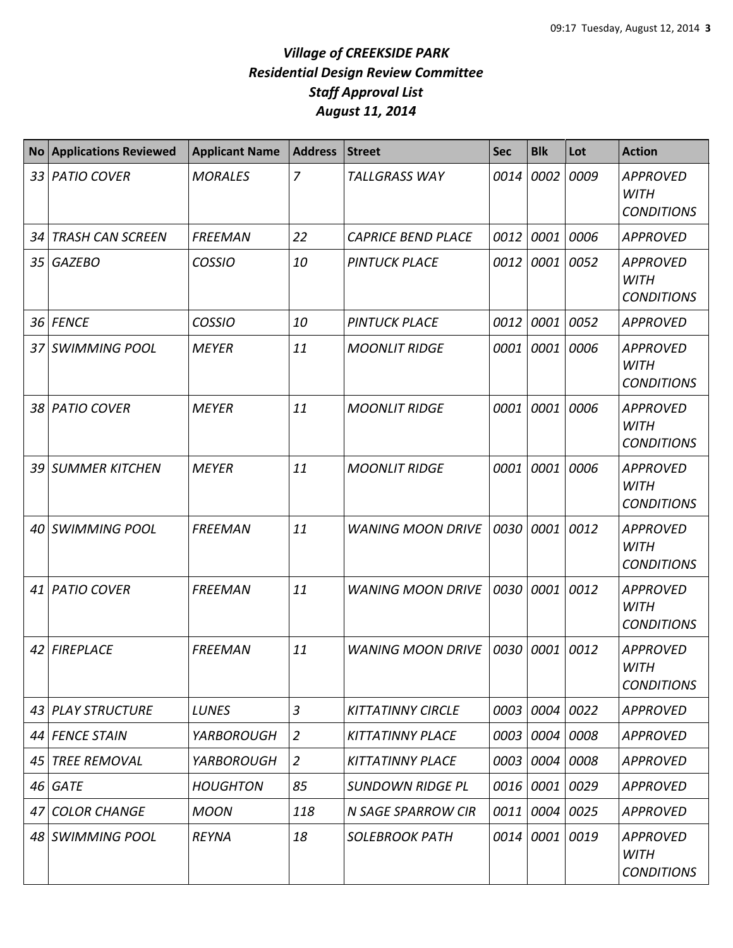| <b>No</b>       | <b>Applications Reviewed</b> | <b>Applicant Name</b> | <b>Address</b> | <b>Street</b>             | <b>Sec</b> | <b>Blk</b> | Lot  | <b>Action</b>                                       |
|-----------------|------------------------------|-----------------------|----------------|---------------------------|------------|------------|------|-----------------------------------------------------|
| 33 <sup>1</sup> | <b>PATIO COVER</b>           | <b>MORALES</b>        | $\overline{7}$ | <b>TALLGRASS WAY</b>      | 0014       | 0002       | 0009 | <b>APPROVED</b><br><b>WITH</b><br><b>CONDITIONS</b> |
| 34              | <b>TRASH CAN SCREEN</b>      | <b>FREEMAN</b>        | 22             | <b>CAPRICE BEND PLACE</b> | 0012       | 0001       | 0006 | <b>APPROVED</b>                                     |
| 35              | GAZEBO                       | <b>COSSIO</b>         | 10             | <b>PINTUCK PLACE</b>      | 0012       | 0001       | 0052 | <b>APPROVED</b><br><b>WITH</b><br><b>CONDITIONS</b> |
| 36              | <b>FENCE</b>                 | <b>COSSIO</b>         | 10             | <b>PINTUCK PLACE</b>      | 0012       | 0001       | 0052 | <b>APPROVED</b>                                     |
| 37              | <b>SWIMMING POOL</b>         | <b>MEYER</b>          | 11             | <b>MOONLIT RIDGE</b>      | 0001       | 0001       | 0006 | <b>APPROVED</b><br><b>WITH</b><br><b>CONDITIONS</b> |
|                 | 38 PATIO COVER               | <b>MEYER</b>          | 11             | <b>MOONLIT RIDGE</b>      | 0001       | 0001       | 0006 | <b>APPROVED</b><br><b>WITH</b><br><b>CONDITIONS</b> |
| 39 I            | <b>SUMMER KITCHEN</b>        | <b>MEYER</b>          | 11             | <b>MOONLIT RIDGE</b>      | 0001       | 0001       | 0006 | <b>APPROVED</b><br><b>WITH</b><br><b>CONDITIONS</b> |
| 40              | <b>SWIMMING POOL</b>         | <b>FREEMAN</b>        | 11             | <b>WANING MOON DRIVE</b>  | 0030       | 0001       | 0012 | <b>APPROVED</b><br><b>WITH</b><br><b>CONDITIONS</b> |
| 41              | <b>PATIO COVER</b>           | <b>FREEMAN</b>        | 11             | <b>WANING MOON DRIVE</b>  | 0030       | 0001       | 0012 | <b>APPROVED</b><br><b>WITH</b><br><b>CONDITIONS</b> |
| 42              | <b>FIREPLACE</b>             | <b>FREEMAN</b>        | 11             | <b>WANING MOON DRIVE</b>  | 0030       | 0001       | 0012 | <b>APPROVED</b><br><b>WITH</b><br><b>CONDITIONS</b> |
| 43              | <b>PLAY STRUCTURE</b>        | <b>LUNES</b>          | $\overline{3}$ | <b>KITTATINNY CIRCLE</b>  | 0003       | 0004       | 0022 | <b>APPROVED</b>                                     |
| 44              | <b>FENCE STAIN</b>           | <b>YARBOROUGH</b>     | $\overline{2}$ | <b>KITTATINNY PLACE</b>   | 0003       | 0004       | 0008 | <b>APPROVED</b>                                     |
| 45              | <b>TREE REMOVAL</b>          | <b>YARBOROUGH</b>     | $\overline{2}$ | <b>KITTATINNY PLACE</b>   | 0003       | 0004       | 0008 | <b>APPROVED</b>                                     |
| 46              | <b>GATE</b>                  | <b>HOUGHTON</b>       | 85             | <b>SUNDOWN RIDGE PL</b>   |            | 0016 0001  | 0029 | <b>APPROVED</b>                                     |
| 47              | <b>COLOR CHANGE</b>          | <b>MOON</b>           | 118            | N SAGE SPARROW CIR        | 0011       | 0004       | 0025 | <b>APPROVED</b>                                     |
| 48              | <b>SWIMMING POOL</b>         | <b>REYNA</b>          | 18             | <b>SOLEBROOK PATH</b>     | 0014       | 0001       | 0019 | <b>APPROVED</b><br><b>WITH</b><br><b>CONDITIONS</b> |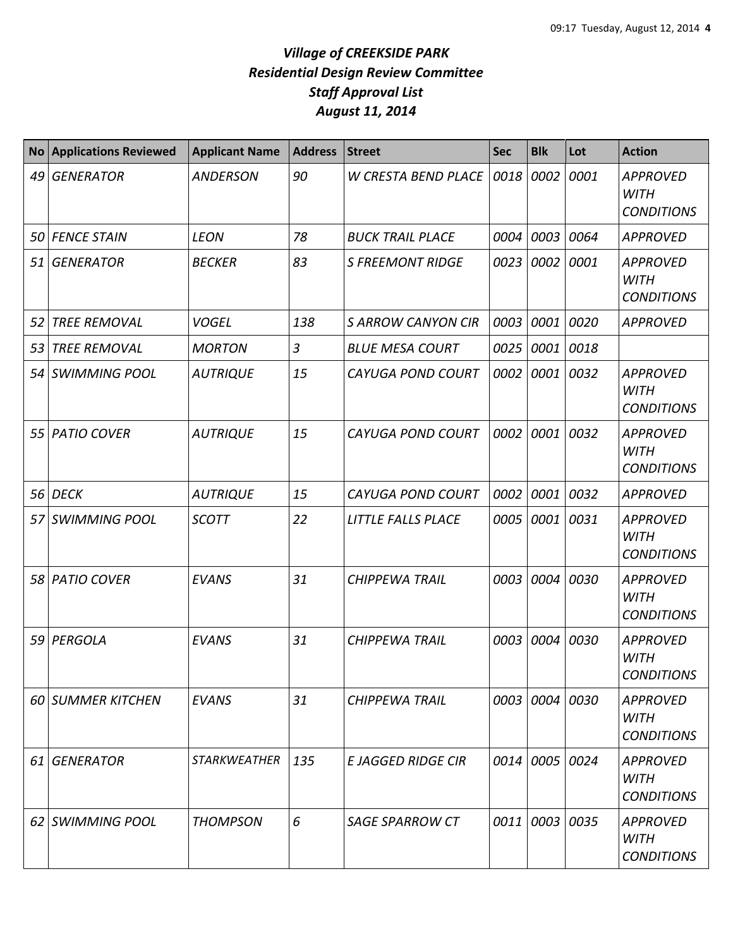| <b>No</b> | <b>Applications Reviewed</b> | <b>Applicant Name</b> | <b>Address</b> | <b>Street</b>             | <b>Sec</b> | <b>Blk</b> | Lot  | <b>Action</b>                                       |
|-----------|------------------------------|-----------------------|----------------|---------------------------|------------|------------|------|-----------------------------------------------------|
| 49        | <b>GENERATOR</b>             | <b>ANDERSON</b>       | 90             | W CRESTA BEND PLACE       | 0018       | 0002       | 0001 | <b>APPROVED</b><br><b>WITH</b><br><b>CONDITIONS</b> |
| 50        | <b>FENCE STAIN</b>           | <b>LEON</b>           | 78             | <b>BUCK TRAIL PLACE</b>   | 0004       | 0003       | 0064 | <b>APPROVED</b>                                     |
| 51        | <b>GENERATOR</b>             | <b>BECKER</b>         | 83             | <b>S FREEMONT RIDGE</b>   | 0023       | 0002       | 0001 | <b>APPROVED</b><br><b>WITH</b><br><b>CONDITIONS</b> |
| 52        | <b>TREE REMOVAL</b>          | <b>VOGEL</b>          | 138            | <b>S ARROW CANYON CIR</b> | 0003       | 0001       | 0020 | <b>APPROVED</b>                                     |
| 53        | <b>TREE REMOVAL</b>          | <b>MORTON</b>         | 3              | <b>BLUE MESA COURT</b>    | 0025       | 0001       | 0018 |                                                     |
| 54        | <b>SWIMMING POOL</b>         | <b>AUTRIQUE</b>       | 15             | <b>CAYUGA POND COURT</b>  | 0002       | 0001       | 0032 | <b>APPROVED</b><br><b>WITH</b><br><b>CONDITIONS</b> |
| 55        | <b>PATIO COVER</b>           | <b>AUTRIQUE</b>       | 15             | <b>CAYUGA POND COURT</b>  | 0002       | 0001       | 0032 | <b>APPROVED</b><br><b>WITH</b><br><b>CONDITIONS</b> |
| 56        | <b>DECK</b>                  | <b>AUTRIQUE</b>       | 15             | <b>CAYUGA POND COURT</b>  | 0002       | 0001       | 0032 | <b>APPROVED</b>                                     |
| 57        | <b>SWIMMING POOL</b>         | <b>SCOTT</b>          | 22             | LITTLE FALLS PLACE        | 0005       | 0001       | 0031 | <b>APPROVED</b><br><b>WITH</b><br><b>CONDITIONS</b> |
|           | 58 PATIO COVER               | <b>EVANS</b>          | 31             | <b>CHIPPEWA TRAIL</b>     | 0003       | 0004       | 0030 | <b>APPROVED</b><br><b>WITH</b><br><b>CONDITIONS</b> |
| 59        | PERGOLA                      | <b>EVANS</b>          | 31             | <b>CHIPPEWA TRAIL</b>     | 0003       | 0004       | 0030 | <b>APPROVED</b><br><b>WITH</b><br><b>CONDITIONS</b> |
| 60        | <b>SUMMER KITCHEN</b>        | <b>EVANS</b>          | 31             | <b>CHIPPEWA TRAIL</b>     |            | 0003 0004  | 0030 | <b>APPROVED</b><br>WITH<br><b>CONDITIONS</b>        |
| 61        | <b>GENERATOR</b>             | <b>STARKWEATHER</b>   | 135            | <b>E JAGGED RIDGE CIR</b> |            | 0014 0005  | 0024 | <b>APPROVED</b><br><b>WITH</b><br><b>CONDITIONS</b> |
| 62        | <b>SWIMMING POOL</b>         | <b>THOMPSON</b>       | 6              | <b>SAGE SPARROW CT</b>    |            | 0011 0003  | 0035 | <b>APPROVED</b><br><b>WITH</b><br><b>CONDITIONS</b> |